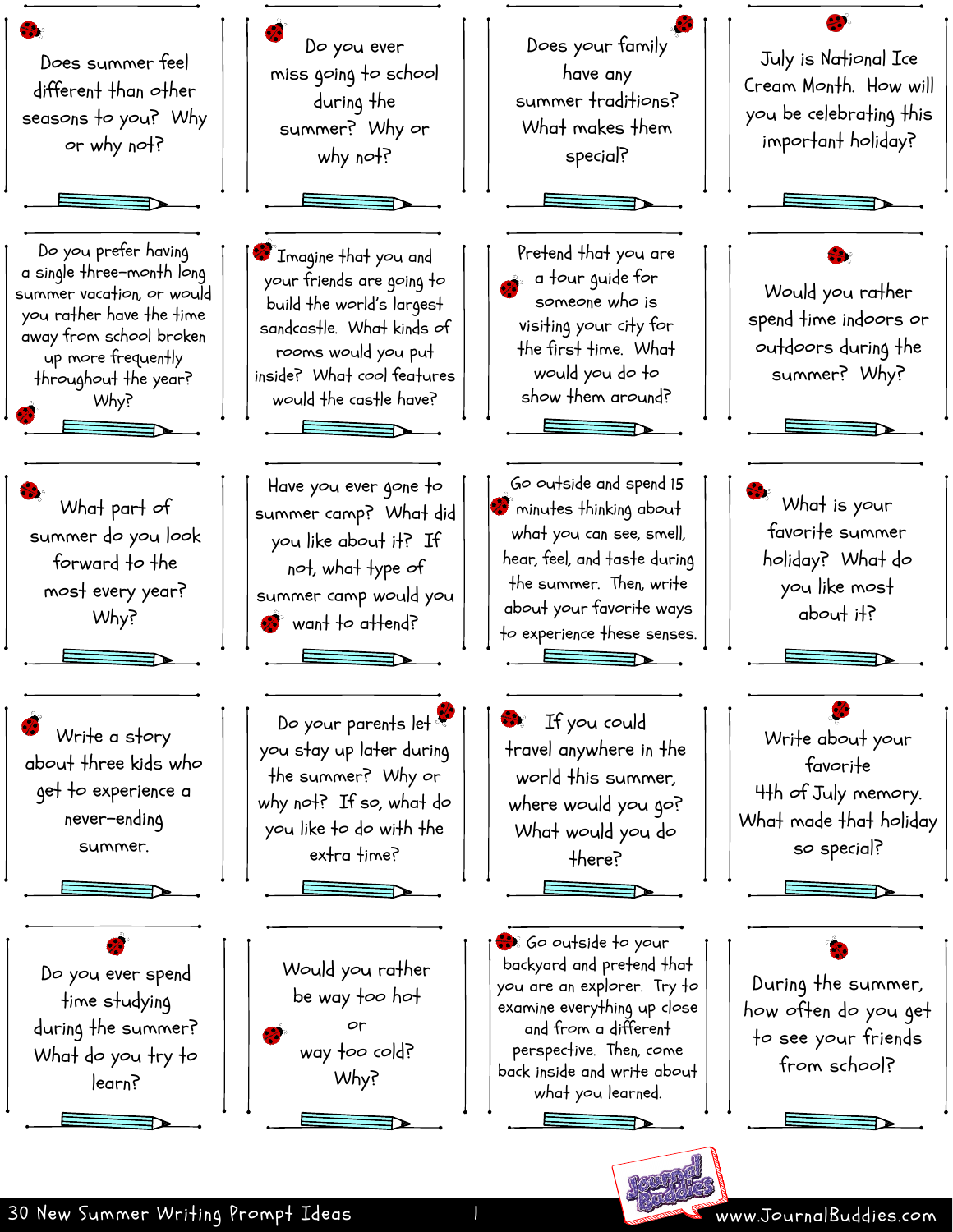